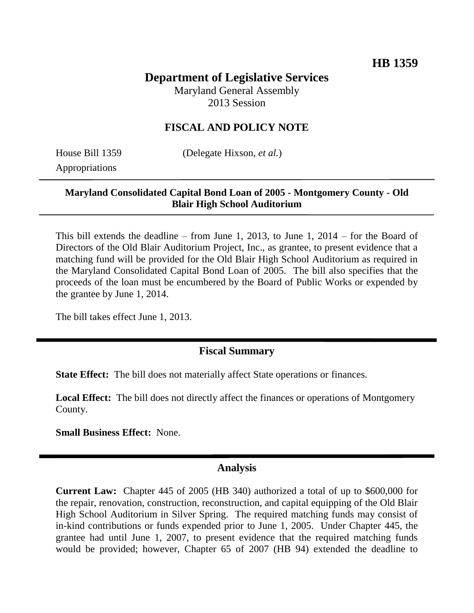# **Department of Legislative Services**

Maryland General Assembly 2013 Session

### **FISCAL AND POLICY NOTE**

Appropriations

House Bill 1359 (Delegate Hixson, *et al.*)

#### **Maryland Consolidated Capital Bond Loan of 2005 - Montgomery County - Old Blair High School Auditorium**

This bill extends the deadline – from June 1, 2013, to June 1, 2014 – for the Board of Directors of the Old Blair Auditorium Project, Inc., as grantee, to present evidence that a matching fund will be provided for the Old Blair High School Auditorium as required in the Maryland Consolidated Capital Bond Loan of 2005. The bill also specifies that the proceeds of the loan must be encumbered by the Board of Public Works or expended by the grantee by June 1, 2014.

The bill takes effect June 1, 2013.

#### **Fiscal Summary**

**State Effect:** The bill does not materially affect State operations or finances.

**Local Effect:** The bill does not directly affect the finances or operations of Montgomery County.

**Small Business Effect:** None.

#### **Analysis**

**Current Law:** Chapter 445 of 2005 (HB 340) authorized a total of up to \$600,000 for the repair, renovation, construction, reconstruction, and capital equipping of the Old Blair High School Auditorium in Silver Spring. The required matching funds may consist of in-kind contributions or funds expended prior to June 1, 2005. Under Chapter 445, the grantee had until June 1, 2007, to present evidence that the required matching funds would be provided; however, Chapter 65 of 2007 (HB 94) extended the deadline to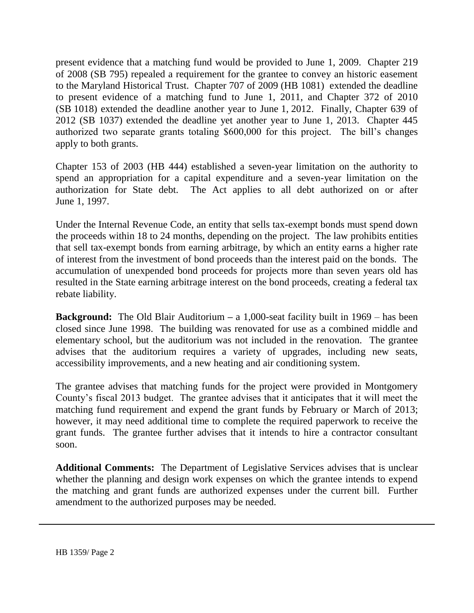present evidence that a matching fund would be provided to June 1, 2009. Chapter 219 of 2008 (SB 795) repealed a requirement for the grantee to convey an historic easement to the Maryland Historical Trust. Chapter 707 of 2009 (HB 1081) extended the deadline to present evidence of a matching fund to June 1, 2011, and Chapter 372 of 2010 (SB 1018) extended the deadline another year to June 1, 2012. Finally, Chapter 639 of 2012 (SB 1037) extended the deadline yet another year to June 1, 2013. Chapter 445 authorized two separate grants totaling \$600,000 for this project. The bill's changes apply to both grants.

Chapter 153 of 2003 (HB 444) established a seven-year limitation on the authority to spend an appropriation for a capital expenditure and a seven-year limitation on the authorization for State debt. The Act applies to all debt authorized on or after June 1, 1997.

Under the Internal Revenue Code, an entity that sells tax-exempt bonds must spend down the proceeds within 18 to 24 months, depending on the project. The law prohibits entities that sell tax-exempt bonds from earning arbitrage, by which an entity earns a higher rate of interest from the investment of bond proceeds than the interest paid on the bonds. The accumulation of unexpended bond proceeds for projects more than seven years old has resulted in the State earning arbitrage interest on the bond proceeds, creating a federal tax rebate liability.

**Background:** The Old Blair Auditorium **–** a 1,000-seat facility built in 1969 – has been closed since June 1998. The building was renovated for use as a combined middle and elementary school, but the auditorium was not included in the renovation. The grantee advises that the auditorium requires a variety of upgrades, including new seats, accessibility improvements, and a new heating and air conditioning system.

The grantee advises that matching funds for the project were provided in Montgomery County's fiscal 2013 budget. The grantee advises that it anticipates that it will meet the matching fund requirement and expend the grant funds by February or March of 2013; however, it may need additional time to complete the required paperwork to receive the grant funds. The grantee further advises that it intends to hire a contractor consultant soon.

**Additional Comments:** The Department of Legislative Services advises that is unclear whether the planning and design work expenses on which the grantee intends to expend the matching and grant funds are authorized expenses under the current bill. Further amendment to the authorized purposes may be needed.